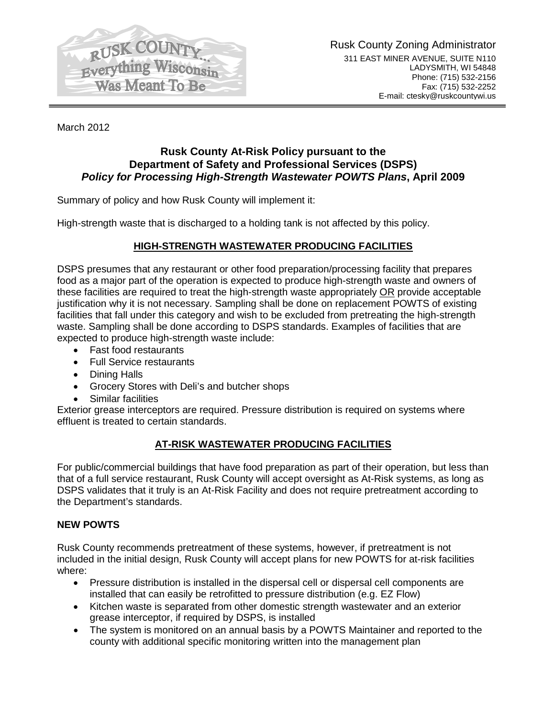

March 2012

## **Rusk County At-Risk Policy pursuant to the Department of Safety and Professional Services (DSPS)** *Policy for Processing High-Strength Wastewater POWTS Plans***, April 2009**

Summary of policy and how Rusk County will implement it:

High-strength waste that is discharged to a holding tank is not affected by this policy.

## **HIGH-STRENGTH WASTEWATER PRODUCING FACILITIES**

DSPS presumes that any restaurant or other food preparation/processing facility that prepares food as a major part of the operation is expected to produce high-strength waste and owners of these facilities are required to treat the high-strength waste appropriately OR provide acceptable justification why it is not necessary. Sampling shall be done on replacement POWTS of existing facilities that fall under this category and wish to be excluded from pretreating the high-strength waste. Sampling shall be done according to DSPS standards. Examples of facilities that are expected to produce high-strength waste include:

- Fast food restaurants
- Full Service restaurants
- Dining Halls
- Grocery Stores with Deli's and butcher shops
- **Similar facilities**

Exterior grease interceptors are required. Pressure distribution is required on systems where effluent is treated to certain standards.

### **AT-RISK WASTEWATER PRODUCING FACILITIES**

For public/commercial buildings that have food preparation as part of their operation, but less than that of a full service restaurant, Rusk County will accept oversight as At-Risk systems, as long as DSPS validates that it truly is an At-Risk Facility and does not require pretreatment according to the Department's standards.

#### **NEW POWTS**

Rusk County recommends pretreatment of these systems, however, if pretreatment is not included in the initial design, Rusk County will accept plans for new POWTS for at-risk facilities where:

- Pressure distribution is installed in the dispersal cell or dispersal cell components are installed that can easily be retrofitted to pressure distribution (e.g. EZ Flow)
- Kitchen waste is separated from other domestic strength wastewater and an exterior grease interceptor, if required by DSPS, is installed
- The system is monitored on an annual basis by a POWTS Maintainer and reported to the county with additional specific monitoring written into the management plan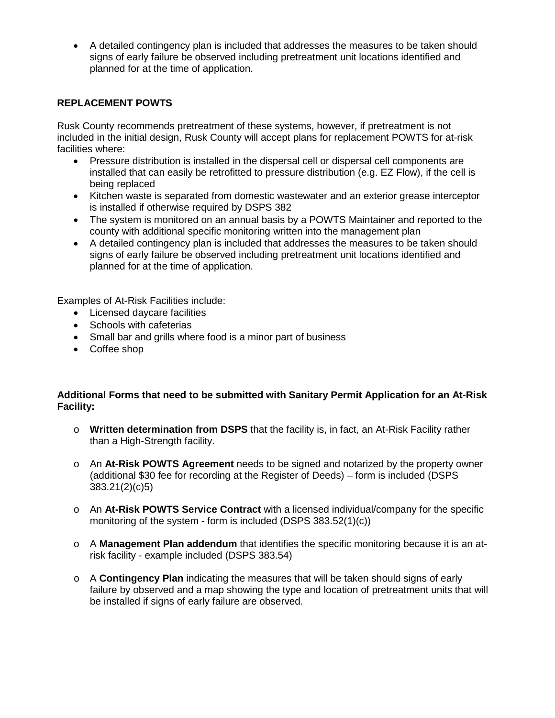• A detailed contingency plan is included that addresses the measures to be taken should signs of early failure be observed including pretreatment unit locations identified and planned for at the time of application.

### **REPLACEMENT POWTS**

Rusk County recommends pretreatment of these systems, however, if pretreatment is not included in the initial design, Rusk County will accept plans for replacement POWTS for at-risk facilities where:

- Pressure distribution is installed in the dispersal cell or dispersal cell components are installed that can easily be retrofitted to pressure distribution (e.g. EZ Flow), if the cell is being replaced
- Kitchen waste is separated from domestic wastewater and an exterior grease interceptor is installed if otherwise required by DSPS 382
- The system is monitored on an annual basis by a POWTS Maintainer and reported to the county with additional specific monitoring written into the management plan
- A detailed contingency plan is included that addresses the measures to be taken should signs of early failure be observed including pretreatment unit locations identified and planned for at the time of application.

Examples of At-Risk Facilities include:

- Licensed daycare facilities
- Schools with cafeterias
- Small bar and grills where food is a minor part of business
- Coffee shop

#### **Additional Forms that need to be submitted with Sanitary Permit Application for an At-Risk Facility:**

- o **Written determination from DSPS** that the facility is, in fact, an At-Risk Facility rather than a High-Strength facility.
- o An **At-Risk POWTS Agreement** needs to be signed and notarized by the property owner (additional \$30 fee for recording at the Register of Deeds) – form is included (DSPS 383.21(2)(c)5)
- o An **At-Risk POWTS Service Contract** with a licensed individual/company for the specific monitoring of the system - form is included (DSPS 383.52(1)(c))
- o A **Management Plan addendum** that identifies the specific monitoring because it is an atrisk facility - example included (DSPS 383.54)
- o A **Contingency Plan** indicating the measures that will be taken should signs of early failure by observed and a map showing the type and location of pretreatment units that will be installed if signs of early failure are observed.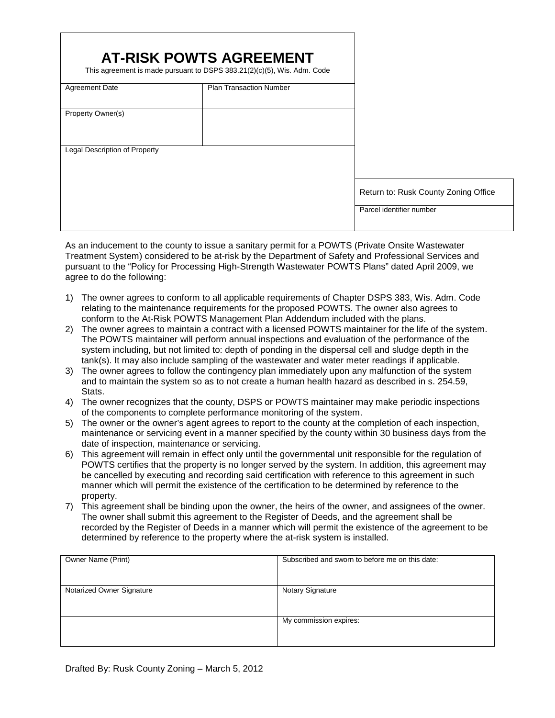|                               | <b>AT-RISK POWTS AGREEMENT</b><br>This agreement is made pursuant to DSPS $383.21(2)(c)(5)$ , Wis. Adm. Code |                                      |
|-------------------------------|--------------------------------------------------------------------------------------------------------------|--------------------------------------|
| <b>Agreement Date</b>         | <b>Plan Transaction Number</b>                                                                               |                                      |
| Property Owner(s)             |                                                                                                              |                                      |
|                               |                                                                                                              |                                      |
| Legal Description of Property |                                                                                                              |                                      |
|                               |                                                                                                              |                                      |
|                               |                                                                                                              | Return to: Rusk County Zoning Office |
|                               |                                                                                                              | Parcel identifier number             |

As an inducement to the county to issue a sanitary permit for a POWTS (Private Onsite Wastewater Treatment System) considered to be at-risk by the Department of Safety and Professional Services and pursuant to the "Policy for Processing High-Strength Wastewater POWTS Plans" dated April 2009, we agree to do the following:

- 1) The owner agrees to conform to all applicable requirements of Chapter DSPS 383, Wis. Adm. Code relating to the maintenance requirements for the proposed POWTS. The owner also agrees to conform to the At-Risk POWTS Management Plan Addendum included with the plans.
- 2) The owner agrees to maintain a contract with a licensed POWTS maintainer for the life of the system. The POWTS maintainer will perform annual inspections and evaluation of the performance of the system including, but not limited to: depth of ponding in the dispersal cell and sludge depth in the tank(s). It may also include sampling of the wastewater and water meter readings if applicable.
- 3) The owner agrees to follow the contingency plan immediately upon any malfunction of the system and to maintain the system so as to not create a human health hazard as described in s. 254.59, Stats.
- 4) The owner recognizes that the county, DSPS or POWTS maintainer may make periodic inspections of the components to complete performance monitoring of the system.
- 5) The owner or the owner's agent agrees to report to the county at the completion of each inspection, maintenance or servicing event in a manner specified by the county within 30 business days from the date of inspection, maintenance or servicing.
- 6) This agreement will remain in effect only until the governmental unit responsible for the regulation of POWTS certifies that the property is no longer served by the system. In addition, this agreement may be cancelled by executing and recording said certification with reference to this agreement in such manner which will permit the existence of the certification to be determined by reference to the property.
- 7) This agreement shall be binding upon the owner, the heirs of the owner, and assignees of the owner. The owner shall submit this agreement to the Register of Deeds, and the agreement shall be recorded by the Register of Deeds in a manner which will permit the existence of the agreement to be determined by reference to the property where the at-risk system is installed.

| Owner Name (Print)        | Subscribed and sworn to before me on this date: |
|---------------------------|-------------------------------------------------|
| Notarized Owner Signature | Notary Signature                                |
|                           | My commission expires:                          |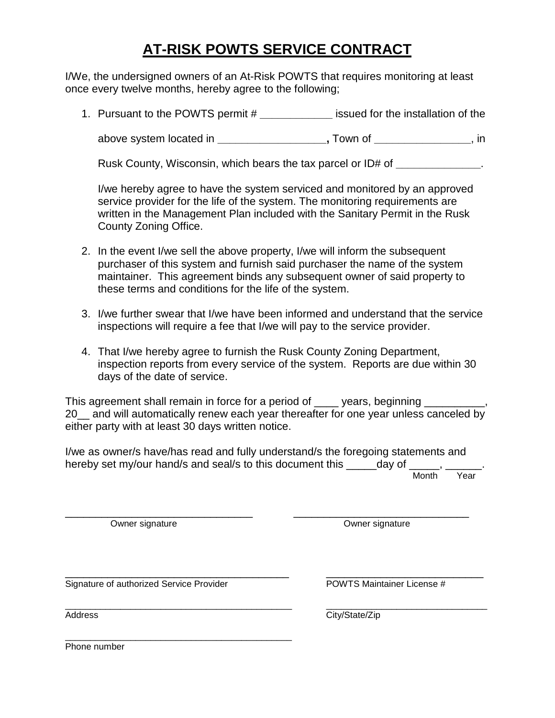# **AT-RISK POWTS SERVICE CONTRACT**

I/We, the undersigned owners of an At-Risk POWTS that requires monitoring at least once every twelve months, hereby agree to the following;

1. Pursuant to the POWTS permit # **\_\_\_\_\_\_\_\_\_\_\_\_** issued for the installation of the

above system located in **\_\_\_\_\_\_\_\_\_\_\_\_\_\_\_\_\_\_,** Town of **\_\_\_\_\_\_\_\_\_\_\_\_\_\_\_\_**, in

Rusk County, Wisconsin, which bears the tax parcel or ID# of **\_\_\_\_\_\_\_\_\_\_\_\_\_\_**.

I/we hereby agree to have the system serviced and monitored by an approved service provider for the life of the system. The monitoring requirements are written in the Management Plan included with the Sanitary Permit in the Rusk County Zoning Office.

- 2. In the event I/we sell the above property, I/we will inform the subsequent purchaser of this system and furnish said purchaser the name of the system maintainer. This agreement binds any subsequent owner of said property to these terms and conditions for the life of the system.
- 3. I/we further swear that I/we have been informed and understand that the service inspections will require a fee that I/we will pay to the service provider.
- 4. That I/we hereby agree to furnish the Rusk County Zoning Department, inspection reports from every service of the system. Reports are due within 30 days of the date of service.

This agreement shall remain in force for a period of \_\_\_\_\_ years, beginning \_\_\_\_\_\_ 20\_ and will automatically renew each year thereafter for one year unless canceled by either party with at least 30 days written notice.

I/we as owner/s have/has read and fully understand/s the foregoing statements and hereby set my/our hand/s and seal/s to this document this \_\_\_\_\_day of \_\_\_\_\_, \_ Month Year

\_\_\_\_\_\_\_\_\_\_\_\_\_\_\_\_\_\_\_\_\_\_\_\_\_\_\_\_\_\_\_ \_\_\_\_\_\_\_\_\_\_\_\_\_\_\_\_\_\_\_\_\_\_\_\_\_\_\_\_\_ Owner signature **Owner Signature Owner signature** 

Signature of authorized Service Provider **POWTS Maintainer License** #

\_\_\_\_\_\_\_\_\_\_\_\_\_\_\_\_\_\_\_\_\_\_\_\_\_\_\_\_\_\_\_\_\_\_\_\_\_\_\_\_\_\_\_\_\_

\_\_\_\_\_\_\_\_\_\_\_\_\_\_\_\_\_\_\_\_\_\_\_\_\_\_\_\_\_\_\_\_\_\_\_\_\_ \_\_\_\_\_\_\_\_\_\_\_\_\_\_\_\_\_\_\_\_\_\_\_\_\_\_

\_\_\_\_\_\_\_\_\_\_\_\_\_\_\_\_\_\_\_\_\_\_\_\_\_\_\_\_\_\_\_\_\_\_\_\_\_\_\_\_\_\_\_\_\_ \_\_\_\_\_\_\_\_\_\_\_\_\_\_\_\_\_\_\_\_\_\_\_\_\_\_\_\_\_\_\_\_ Address City/State/Zip

Phone number